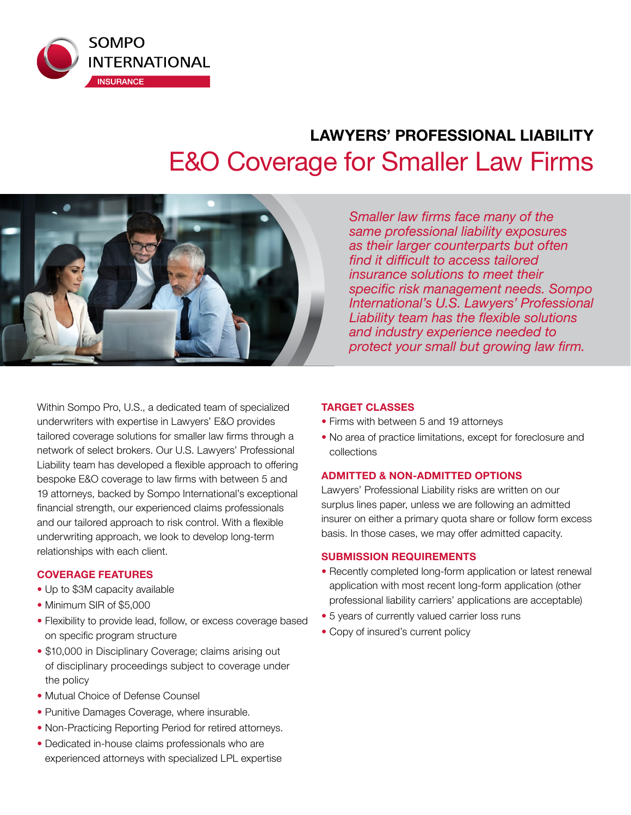

# **LAWYERS' PROFESSIONAL LIABILITY**  E&O Coverage for Smaller Law Firms



*Smaller law firms face many of the same professional liability exposures as their larger counterparts but often find it difficult to access tailored insurance solutions to meet their specific risk management needs. Sompo International's U.S. Lawyers' Professional Liability team has the flexible solutions and industry experience needed to protect your small but growing law firm.*

Within Sompo Pro, U.S., a dedicated team of specialized underwriters with expertise in Lawyers' E&O provides tailored coverage solutions for smaller law firms through a network of select brokers. Our U.S. Lawyers' Professional Liability team has developed a flexible approach to offering bespoke E&O coverage to law firms with between 5 and 19 attorneys, backed by Sompo International's exceptional financial strength, our experienced claims professionals and our tailored approach to risk control. With a flexible underwriting approach, we look to develop long-term relationships with each client.

#### **COVERAGE FEATURES**

- Up to \$3M capacity available
- Minimum SIR of \$5,000
- Flexibility to provide lead, follow, or excess coverage based on specific program structure
- \$10,000 in Disciplinary Coverage; claims arising out of disciplinary proceedings subject to coverage under the policy
- Mutual Choice of Defense Counsel
- Punitive Damages Coverage, where insurable.
- Non-Practicing Reporting Period for retired attorneys.
- Dedicated in-house claims professionals who are experienced attorneys with specialized LPL expertise

#### **TARGET CLASSES**

- Firms with between 5 and 19 attorneys
- No area of practice limitations, except for foreclosure and collections

### **ADMITTED & NON-ADMITTED OPTIONS**

Lawyers' Professional Liability risks are written on our surplus lines paper, unless we are following an admitted insurer on either a primary quota share or follow form excess basis. In those cases, we may offer admitted capacity.

#### **SUBMISSION REQUIREMENTS**

- Recently completed long-form application or latest renewal application with most recent long-form application (other professional liability carriers' applications are acceptable)
- 5 years of currently valued carrier loss runs
- Copy of insured's current policy